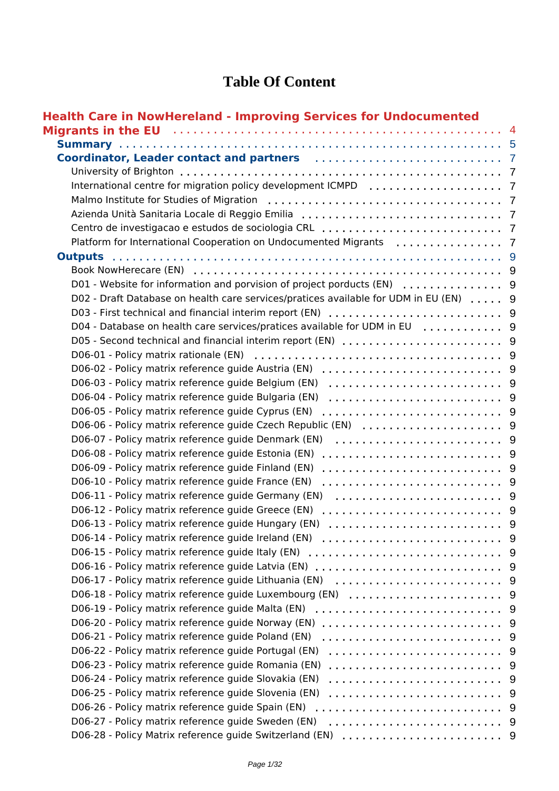#### **Table Of Content**

| <b>Health Care in NowHereland - Improving Services for Undocumented</b>                                                                                                                                                             |     |
|-------------------------------------------------------------------------------------------------------------------------------------------------------------------------------------------------------------------------------------|-----|
| <b>Migrants in the EU</b> decrease and the contract of the contract of the set of the set of the set of the set of the set of the set of the set of the set of the set of the set of the set of the set of the set of the set of th |     |
|                                                                                                                                                                                                                                     |     |
|                                                                                                                                                                                                                                     |     |
|                                                                                                                                                                                                                                     |     |
|                                                                                                                                                                                                                                     |     |
|                                                                                                                                                                                                                                     |     |
|                                                                                                                                                                                                                                     |     |
|                                                                                                                                                                                                                                     |     |
|                                                                                                                                                                                                                                     |     |
| <b>Outputs</b>                                                                                                                                                                                                                      |     |
|                                                                                                                                                                                                                                     |     |
|                                                                                                                                                                                                                                     |     |
| D02 - Draft Database on health care services/pratices available for UDM in EU (EN)  9                                                                                                                                               |     |
|                                                                                                                                                                                                                                     |     |
|                                                                                                                                                                                                                                     |     |
|                                                                                                                                                                                                                                     |     |
|                                                                                                                                                                                                                                     |     |
|                                                                                                                                                                                                                                     |     |
|                                                                                                                                                                                                                                     |     |
| D06-04 - Policy matrix reference guide Bulgaria (EN)                                                                                                                                                                                |     |
| D06-05 - Policy matrix reference guide Cyprus (EN)                                                                                                                                                                                  |     |
|                                                                                                                                                                                                                                     |     |
| D06-07 - Policy matrix reference guide Denmark (EN)                                                                                                                                                                                 |     |
| D06-08 - Policy matrix reference guide Estonia (EN)                                                                                                                                                                                 |     |
| D06-09 - Policy matrix reference guide Finland (EN)                                                                                                                                                                                 |     |
| D06-10 - Policy matrix reference guide France (EN)                                                                                                                                                                                  |     |
| D06-11 - Policy matrix reference guide Germany (EN)                                                                                                                                                                                 |     |
| D06-12 - Policy matrix reference guide Greece (EN)                                                                                                                                                                                  |     |
| D06-13 - Policy matrix reference quide Hungary (EN)                                                                                                                                                                                 | - 9 |
| D06-14 - Policy matrix reference guide Ireland (EN)                                                                                                                                                                                 | - 9 |
| D06-15 - Policy matrix reference guide Italy (EN)                                                                                                                                                                                   | - 9 |
| D06-16 - Policy matrix reference guide Latvia (EN)                                                                                                                                                                                  | -9  |
| D06-17 - Policy matrix reference guide Lithuania (EN)                                                                                                                                                                               | -9  |
| D06-18 - Policy matrix reference guide Luxembourg (EN)                                                                                                                                                                              | - 9 |
| D06-19 - Policy matrix reference guide Malta (EN)                                                                                                                                                                                   | - 9 |
| D06-20 - Policy matrix reference guide Norway (EN)                                                                                                                                                                                  | -9  |
| D06-21 - Policy matrix reference guide Poland (EN)                                                                                                                                                                                  | 9   |
| D06-22 - Policy matrix reference guide Portugal (EN)                                                                                                                                                                                | - 9 |
| D06-23 - Policy matrix reference guide Romania (EN)                                                                                                                                                                                 | - 9 |
| D06-24 - Policy matrix reference guide Slovakia (EN)                                                                                                                                                                                | 9   |
| D06-25 - Policy matrix reference guide Slovenia (EN)                                                                                                                                                                                | -9  |
| D06-26 - Policy matrix reference guide Spain (EN)                                                                                                                                                                                   | - 9 |
| D06-27 - Policy matrix reference guide Sweden (EN)                                                                                                                                                                                  |     |
|                                                                                                                                                                                                                                     |     |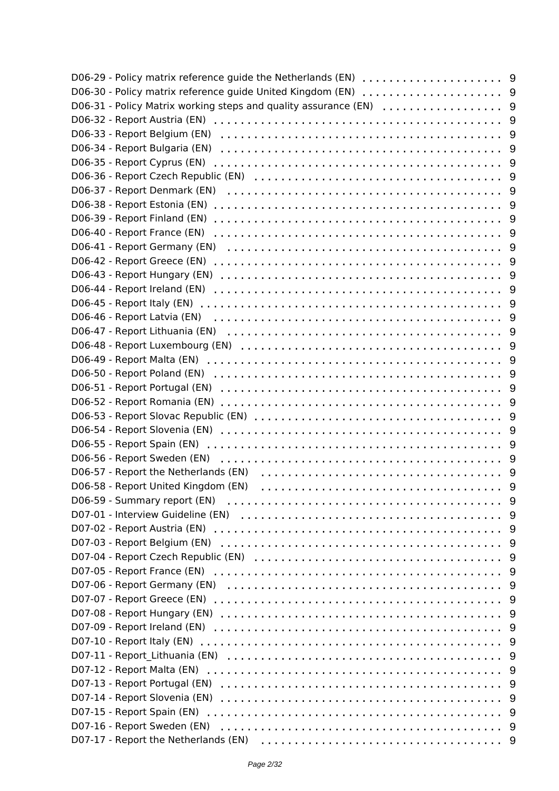|                                      | 9   |
|--------------------------------------|-----|
|                                      | 9   |
|                                      | 9   |
|                                      | 9   |
|                                      | 9   |
|                                      | 9   |
|                                      | 9   |
|                                      | 9   |
| D06-40 - Report France (EN)          | 9   |
|                                      | 9   |
|                                      | 9   |
|                                      | 9   |
|                                      | 9   |
|                                      | 9   |
|                                      | 9   |
|                                      | 9   |
|                                      | 9   |
|                                      | 9   |
|                                      | 9   |
|                                      | 9   |
|                                      | 9   |
|                                      | 9   |
|                                      |     |
|                                      | - 9 |
|                                      |     |
| D06-57 - Report the Netherlands (EN) |     |
| D06-58 - Report United Kingdom (EN)  |     |
| D06-59 - Summary report (EN)         | 9   |
|                                      |     |
|                                      |     |
|                                      |     |
|                                      |     |
|                                      | -9  |
| D07-06 - Report Germany (EN)         | - 9 |
|                                      | -9  |
|                                      | - 9 |
|                                      | -9  |
|                                      | - 9 |
| D07-10 - Report Italy (EN)           | -9  |
|                                      | - 9 |
|                                      | -9  |
|                                      | - 9 |
| D07-14 - Report Slovenia (EN)        | -9  |
|                                      | - 9 |
| D07-16 - Report Sweden (EN)          |     |
|                                      |     |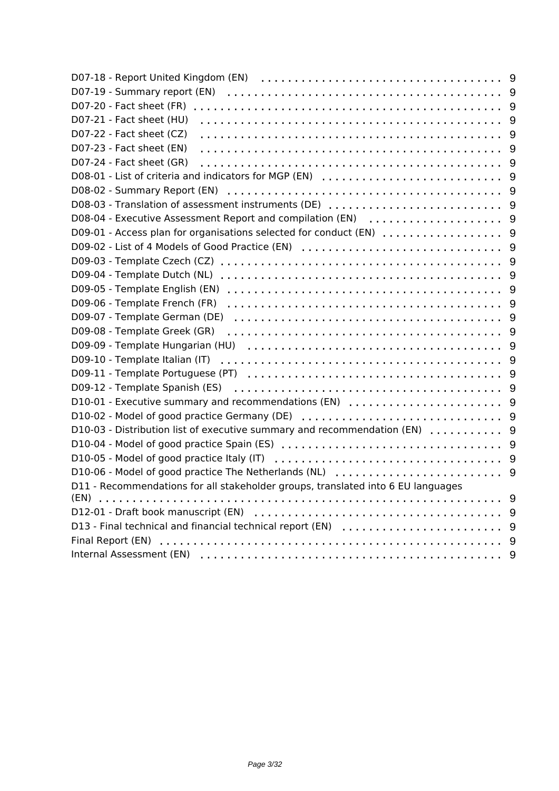| D07-20 - Fact sheet (FR)                                                         | 9              |
|----------------------------------------------------------------------------------|----------------|
| D07-21 - Fact sheet (HU)                                                         | 9              |
| D07-22 - Fact sheet (CZ)                                                         | 9              |
| D07-23 - Fact sheet (EN)                                                         | 9              |
| D07-24 - Fact sheet (GR)                                                         | 9              |
| D08-01 - List of criteria and indicators for MGP (EN)                            | 9              |
|                                                                                  | 9              |
| D08-03 - Translation of assessment instruments (DE)                              | 9              |
| D08-04 - Executive Assessment Report and compilation (EN)                        | 9              |
| D09-01 - Access plan for organisations selected for conduct (EN)                 | 9              |
| D09-02 - List of 4 Models of Good Practice (EN)                                  | 9              |
|                                                                                  | 9              |
| D09-04 - Template Dutch (NL)                                                     | 9              |
| D09-05 - Template English (EN)                                                   | 9              |
| D09-06 - Template French (FR)                                                    | 9              |
| D09-07 - Template German (DE)                                                    | 9              |
| D09-08 - Template Greek (GR)                                                     | 9              |
|                                                                                  | 9              |
| D09-10 - Template Italian (IT)                                                   | 9              |
|                                                                                  | $\overline{9}$ |
|                                                                                  | 9              |
| D10-01 - Executive summary and recommendations (EN)                              | 9              |
| D10-02 - Model of good practice Germany (DE)                                     | 9              |
| D10-03 - Distribution list of executive summary and recommendation $(EN)$ ,      | 9              |
|                                                                                  | 9              |
|                                                                                  |                |
| D10-06 - Model of good practice The Netherlands (NL)                             | 9              |
| D11 - Recommendations for all stakeholder groups, translated into 6 EU languages |                |
| (EN)                                                                             | 9              |
|                                                                                  | 9              |
| D13 - Final technical and financial technical report (EN)                        | 9              |
|                                                                                  | 9              |
|                                                                                  | 9              |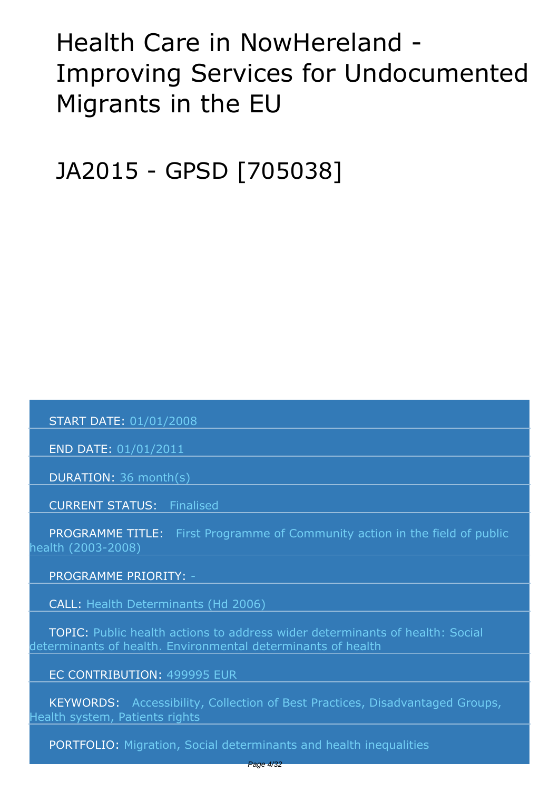# <span id="page-3-0"></span>*Health Care in NowHereland - Improving Services for Undocumented Migrants in the EU*

*JA2015 - GPSD [705038]*

 *START DATE: 01/01/2008*

 *END DATE: 01/01/2011*

 *DURATION: 36 month(s)*

 *CURRENT STATUS: Finalised*

 *PROGRAMME TITLE: First Programme of Community action in the field of public health (2003-2008)* 

 *PROGRAMME PRIORITY: -*

 *CALL: Health Determinants (Hd 2006)*

 *TOPIC: Public health actions to address wider determinants of health: Social determinants of health. Environmental determinants of health*

 *EC CONTRIBUTION: 499995 EUR*

 *KEYWORDS: Accessibility, Collection of Best Practices, Disadvantaged Groups, Health system, Patients rights* 

 *PORTFOLIO: Migration, Social determinants and health inequalities*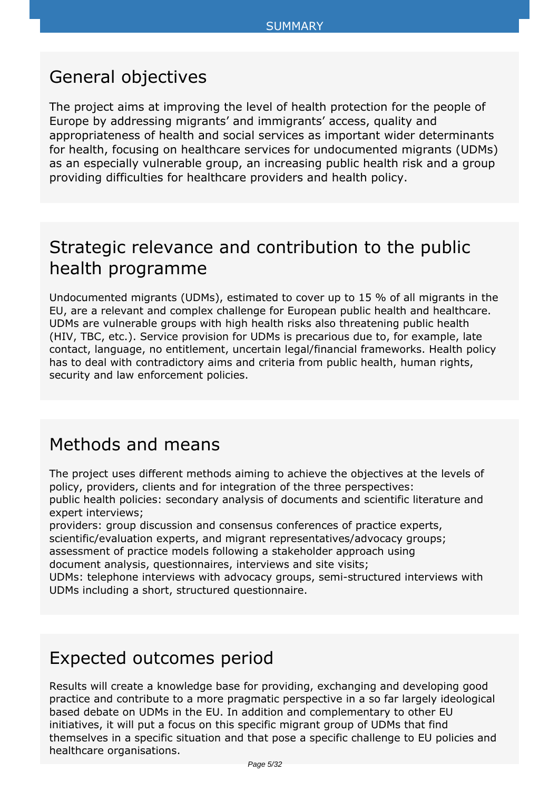#### <span id="page-4-0"></span>*General objectives*

*The project aims at improving the level of health protection for the people of Europe by addressing migrants' and immigrants' access, quality and appropriateness of health and social services as important wider determinants for health, focusing on healthcare services for undocumented migrants (UDMs) as an especially vulnerable group, an increasing public health risk and a group providing difficulties for healthcare providers and health policy.*

#### *Strategic relevance and contribution to the public health programme*

*Undocumented migrants (UDMs), estimated to cover up to 15 % of all migrants in the EU, are a relevant and complex challenge for European public health and healthcare. UDMs are vulnerable groups with high health risks also threatening public health (HIV, TBC, etc.). Service provision for UDMs is precarious due to, for example, late contact, language, no entitlement, uncertain legal/financial frameworks. Health policy has to deal with contradictory aims and criteria from public health, human rights, security and law enforcement policies.*

#### *Methods and means*

*The project uses different methods aiming to achieve the objectives at the levels of policy, providers, clients and for integration of the three perspectives: public health policies: secondary analysis of documents and scientific literature and expert interviews;*

*providers: group discussion and consensus conferences of practice experts, scientific/evaluation experts, and migrant representatives/advocacy groups; assessment of practice models following a stakeholder approach using document analysis, questionnaires, interviews and site visits;*

*UDMs: telephone interviews with advocacy groups, semi-structured interviews with UDMs including a short, structured questionnaire.*

#### *Expected outcomes period*

*Results will create a knowledge base for providing, exchanging and developing good practice and contribute to a more pragmatic perspective in a so far largely ideological based debate on UDMs in the EU. In addition and complementary to other EU initiatives, it will put a focus on this specific migrant group of UDMs that find themselves in a specific situation and that pose a specific challenge to EU policies and healthcare organisations.*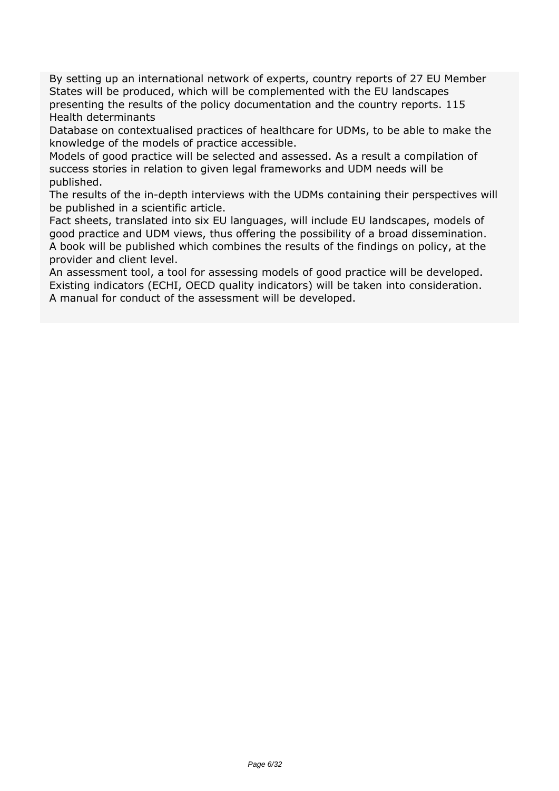*By setting up an international network of experts, country reports of 27 EU Member States will be produced, which will be complemented with the EU landscapes presenting the results of the policy documentation and the country reports. 115 Health determinants*

*Database on contextualised practices of healthcare for UDMs, to be able to make the knowledge of the models of practice accessible.*

*Models of good practice will be selected and assessed. As a result a compilation of success stories in relation to given legal frameworks and UDM needs will be published.*

*The results of the in-depth interviews with the UDMs containing their perspectives will be published in a scientific article.*

*Fact sheets, translated into six EU languages, will include EU landscapes, models of good practice and UDM views, thus offering the possibility of a broad dissemination. A book will be published which combines the results of the findings on policy, at the provider and client level.*

*An assessment tool, a tool for assessing models of good practice will be developed. Existing indicators (ECHI, OECD quality indicators) will be taken into consideration. A manual for conduct of the assessment will be developed.*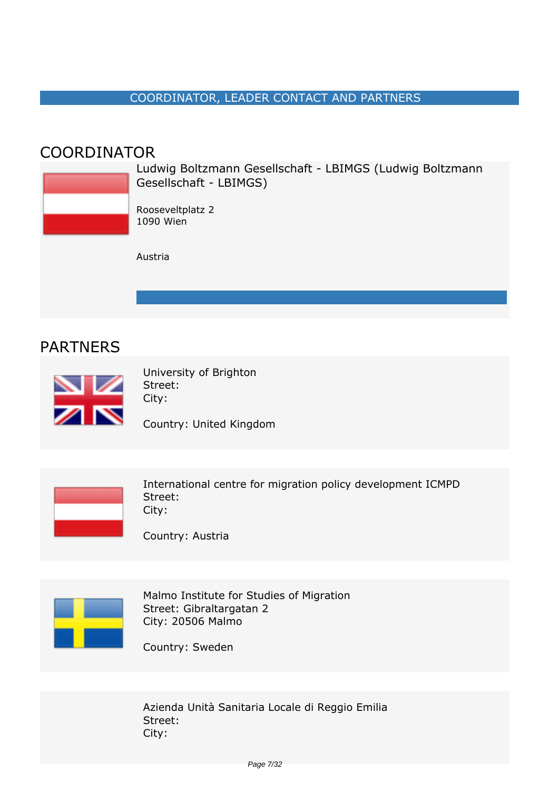#### *COORDINATOR, LEADER CONTACT AND PARTNERS*

#### <span id="page-6-0"></span>*COORDINATOR*

*Ludwig Boltzmann Gesellschaft - LBIMGS (Ludwig Boltzmann Gesellschaft - LBIMGS) Rooseveltplatz 2 1090 Wien Austria*

#### *PARTNERS*



*University of Brighton Street: City:*

*Country: United Kingdom* 



*International centre for migration policy development ICMPD Street: City:*

*Country: Austria* 



*Malmo Institute for Studies of Migration Street: Gibraltargatan 2 City: 20506 Malmo*

*Country: Sweden* 

*Azienda Unità Sanitaria Locale di Reggio Emilia Street: City:*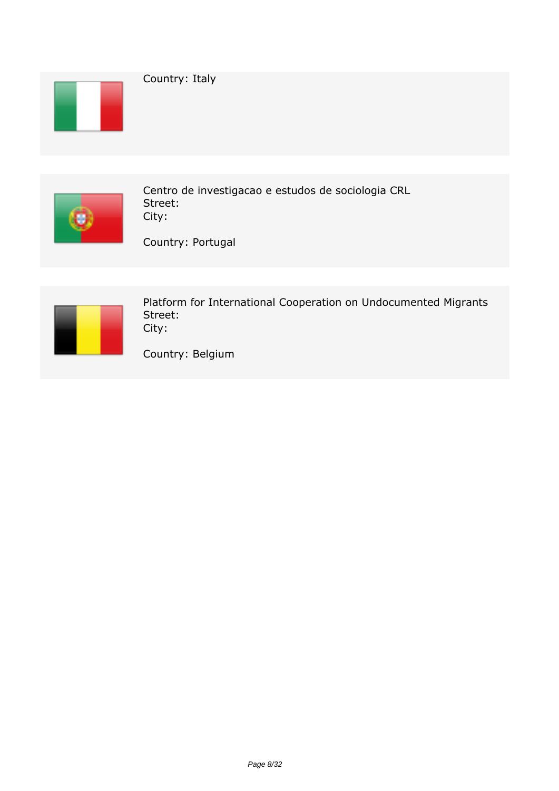



*Centro de investigacao e estudos de sociologia CRL Street: City:*

*Country: Portugal* 



*Platform for International Cooperation on Undocumented Migrants Street: City:*

*Country: Belgium*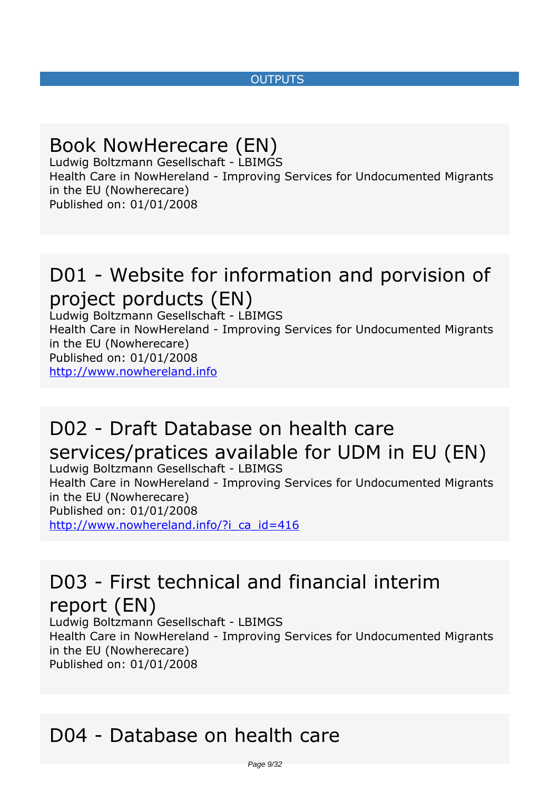#### *OUTPUTS*

#### <span id="page-8-0"></span>*Book NowHerecare (EN)*

*Ludwig Boltzmann Gesellschaft - LBIMGS Health Care in NowHereland - Improving Services for Undocumented Migrants in the EU (Nowherecare) Published on: 01/01/2008*

## *D01 - Website for information and porvision of project porducts (EN)*

*Ludwig Boltzmann Gesellschaft - LBIMGS Health Care in NowHereland - Improving Services for Undocumented Migrants in the EU (Nowherecare) Published on: 01/01/2008* <http://www.nowhereland.info>

## *D02 - Draft Database on health care services/pratices available for UDM in EU (EN)*

*Ludwig Boltzmann Gesellschaft - LBIMGS Health Care in NowHereland - Improving Services for Undocumented Migrants in the EU (Nowherecare) Published on: 01/01/2008* http://www.nowhereland.info/?i\_ca\_id=416

#### *D03 - First technical and financial interim report (EN)*

*Ludwig Boltzmann Gesellschaft - LBIMGS Health Care in NowHereland - Improving Services for Undocumented Migrants in the EU (Nowherecare) Published on: 01/01/2008*

#### *D04 - Database on health care*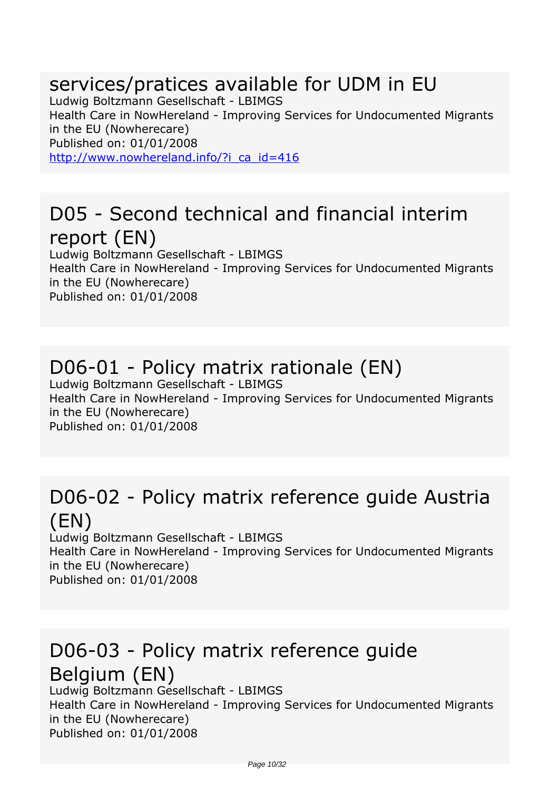#### *services/pratices available for UDM in EU*

*Ludwig Boltzmann Gesellschaft - LBIMGS Health Care in NowHereland - Improving Services for Undocumented Migrants in the EU (Nowherecare) Published on: 01/01/2008* http://www.nowhereland.info/?i\_ca\_id=416

#### *D05 - Second technical and financial interim report (EN)*

*Ludwig Boltzmann Gesellschaft - LBIMGS Health Care in NowHereland - Improving Services for Undocumented Migrants in the EU (Nowherecare) Published on: 01/01/2008*

# *D06-01 - Policy matrix rationale (EN)*

*Ludwig Boltzmann Gesellschaft - LBIMGS Health Care in NowHereland - Improving Services for Undocumented Migrants in the EU (Nowherecare) Published on: 01/01/2008*

#### *D06-02 - Policy matrix reference guide Austria (EN)*

*Ludwig Boltzmann Gesellschaft - LBIMGS Health Care in NowHereland - Improving Services for Undocumented Migrants in the EU (Nowherecare) Published on: 01/01/2008*

## *D06-03 - Policy matrix reference guide Belgium (EN)*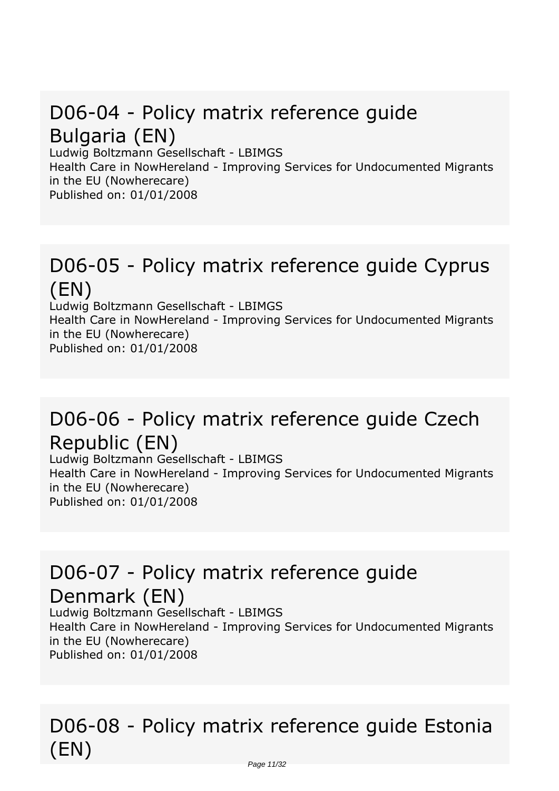## *D06-04 - Policy matrix reference guide Bulgaria (EN)*

*Ludwig Boltzmann Gesellschaft - LBIMGS*

*Health Care in NowHereland - Improving Services for Undocumented Migrants in the EU (Nowherecare)*

*Published on: 01/01/2008*

#### *D06-05 - Policy matrix reference guide Cyprus (EN)*

*Ludwig Boltzmann Gesellschaft - LBIMGS Health Care in NowHereland - Improving Services for Undocumented Migrants in the EU (Nowherecare) Published on: 01/01/2008*

#### *D06-06 - Policy matrix reference guide Czech Republic (EN)*

*Ludwig Boltzmann Gesellschaft - LBIMGS Health Care in NowHereland - Improving Services for Undocumented Migrants in the EU (Nowherecare) Published on: 01/01/2008*

## *D06-07 - Policy matrix reference guide Denmark (EN)*

*Ludwig Boltzmann Gesellschaft - LBIMGS Health Care in NowHereland - Improving Services for Undocumented Migrants in the EU (Nowherecare) Published on: 01/01/2008*

## *D06-08 - Policy matrix reference guide Estonia (EN)*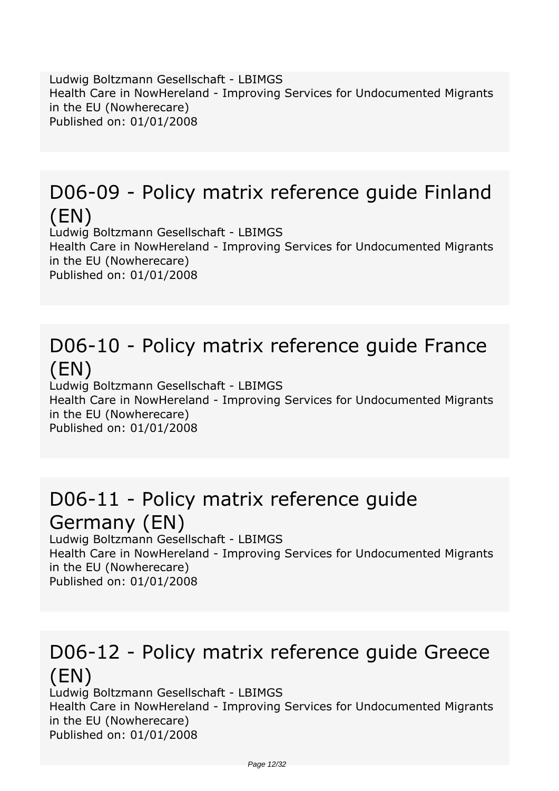*Ludwig Boltzmann Gesellschaft - LBIMGS Health Care in NowHereland - Improving Services for Undocumented Migrants in the EU (Nowherecare) Published on: 01/01/2008*

## *D06-09 - Policy matrix reference guide Finland (EN)*

*Ludwig Boltzmann Gesellschaft - LBIMGS Health Care in NowHereland - Improving Services for Undocumented Migrants in the EU (Nowherecare) Published on: 01/01/2008*

## *D06-10 - Policy matrix reference guide France (EN)*

*Ludwig Boltzmann Gesellschaft - LBIMGS Health Care in NowHereland - Improving Services for Undocumented Migrants in the EU (Nowherecare) Published on: 01/01/2008*

#### *D06-11 - Policy matrix reference guide Germany (EN)*

*Ludwig Boltzmann Gesellschaft - LBIMGS Health Care in NowHereland - Improving Services for Undocumented Migrants in the EU (Nowherecare) Published on: 01/01/2008*

#### *D06-12 - Policy matrix reference guide Greece (EN)*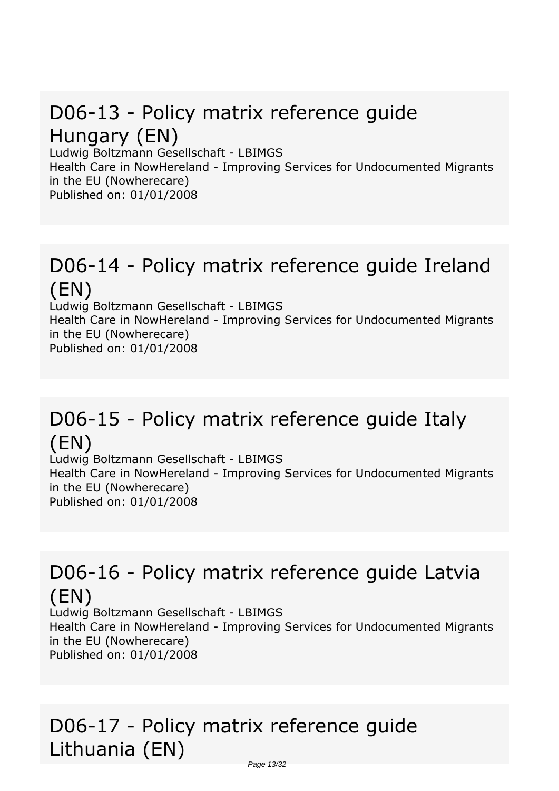# *D06-13 - Policy matrix reference guide Hungary (EN)*

*Ludwig Boltzmann Gesellschaft - LBIMGS Health Care in NowHereland - Improving Services for Undocumented Migrants in the EU (Nowherecare)*

*Published on: 01/01/2008*

#### *D06-14 - Policy matrix reference guide Ireland (EN)*

*Ludwig Boltzmann Gesellschaft - LBIMGS Health Care in NowHereland - Improving Services for Undocumented Migrants in the EU (Nowherecare) Published on: 01/01/2008*

#### *D06-15 - Policy matrix reference guide Italy (EN)*

*Ludwig Boltzmann Gesellschaft - LBIMGS Health Care in NowHereland - Improving Services for Undocumented Migrants in the EU (Nowherecare) Published on: 01/01/2008*

## *D06-16 - Policy matrix reference guide Latvia (EN)*

*Ludwig Boltzmann Gesellschaft - LBIMGS Health Care in NowHereland - Improving Services for Undocumented Migrants in the EU (Nowherecare) Published on: 01/01/2008*

## *D06-17 - Policy matrix reference guide Lithuania (EN)*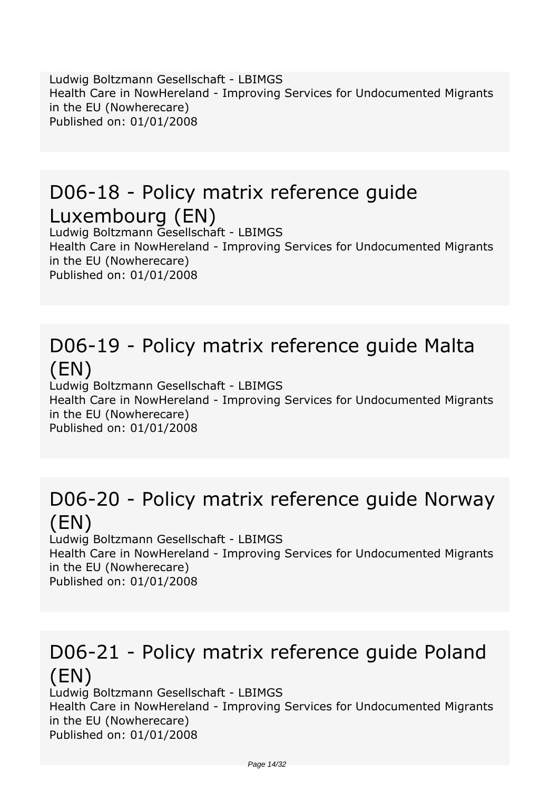*Ludwig Boltzmann Gesellschaft - LBIMGS Health Care in NowHereland - Improving Services for Undocumented Migrants in the EU (Nowherecare) Published on: 01/01/2008*

#### *D06-18 - Policy matrix reference guide Luxembourg (EN)*

*Ludwig Boltzmann Gesellschaft - LBIMGS Health Care in NowHereland - Improving Services for Undocumented Migrants in the EU (Nowherecare) Published on: 01/01/2008*

## *D06-19 - Policy matrix reference guide Malta (EN)*

*Ludwig Boltzmann Gesellschaft - LBIMGS Health Care in NowHereland - Improving Services for Undocumented Migrants in the EU (Nowherecare) Published on: 01/01/2008*

#### *D06-20 - Policy matrix reference guide Norway (EN)*

*Ludwig Boltzmann Gesellschaft - LBIMGS Health Care in NowHereland - Improving Services for Undocumented Migrants in the EU (Nowherecare) Published on: 01/01/2008*

#### *D06-21 - Policy matrix reference guide Poland (EN)*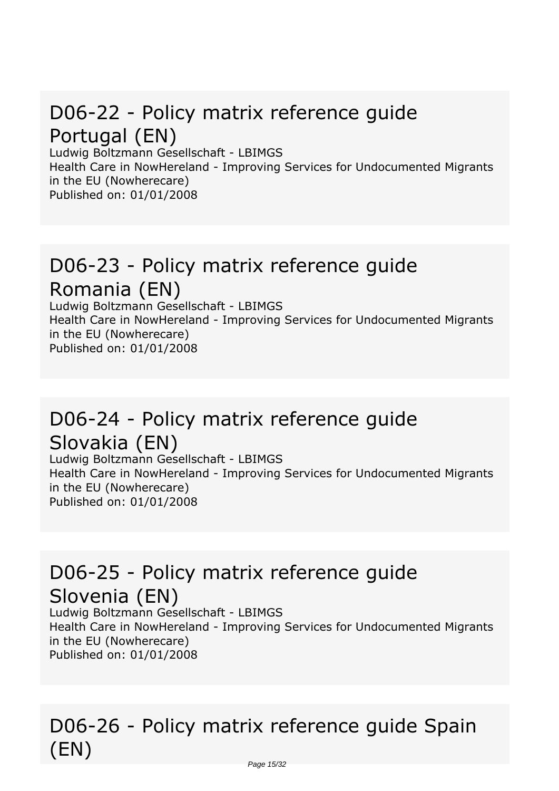## *D06-22 - Policy matrix reference guide Portugal (EN)*

*Ludwig Boltzmann Gesellschaft - LBIMGS Health Care in NowHereland - Improving Services for Undocumented Migrants in the EU (Nowherecare) Published on: 01/01/2008*

#### *D06-23 - Policy matrix reference guide Romania (EN)*

*Ludwig Boltzmann Gesellschaft - LBIMGS Health Care in NowHereland - Improving Services for Undocumented Migrants in the EU (Nowherecare) Published on: 01/01/2008*

## *D06-24 - Policy matrix reference guide Slovakia (EN)*

*Ludwig Boltzmann Gesellschaft - LBIMGS Health Care in NowHereland - Improving Services for Undocumented Migrants in the EU (Nowherecare) Published on: 01/01/2008*

# *D06-25 - Policy matrix reference guide Slovenia (EN)*

*Ludwig Boltzmann Gesellschaft - LBIMGS Health Care in NowHereland - Improving Services for Undocumented Migrants in the EU (Nowherecare) Published on: 01/01/2008*

## *D06-26 - Policy matrix reference guide Spain (EN)*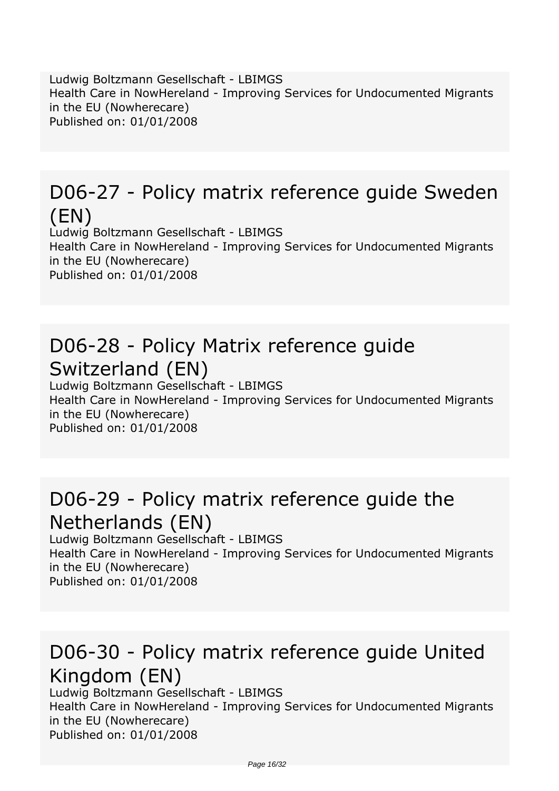*Ludwig Boltzmann Gesellschaft - LBIMGS Health Care in NowHereland - Improving Services for Undocumented Migrants in the EU (Nowherecare) Published on: 01/01/2008*

## *D06-27 - Policy matrix reference guide Sweden (EN)*

*Ludwig Boltzmann Gesellschaft - LBIMGS Health Care in NowHereland - Improving Services for Undocumented Migrants in the EU (Nowherecare) Published on: 01/01/2008*

## *D06-28 - Policy Matrix reference guide Switzerland (EN)*

*Ludwig Boltzmann Gesellschaft - LBIMGS Health Care in NowHereland - Improving Services for Undocumented Migrants in the EU (Nowherecare) Published on: 01/01/2008*

#### *D06-29 - Policy matrix reference guide the Netherlands (EN)*

*Ludwig Boltzmann Gesellschaft - LBIMGS Health Care in NowHereland - Improving Services for Undocumented Migrants in the EU (Nowherecare) Published on: 01/01/2008*

## *D06-30 - Policy matrix reference guide United Kingdom (EN)*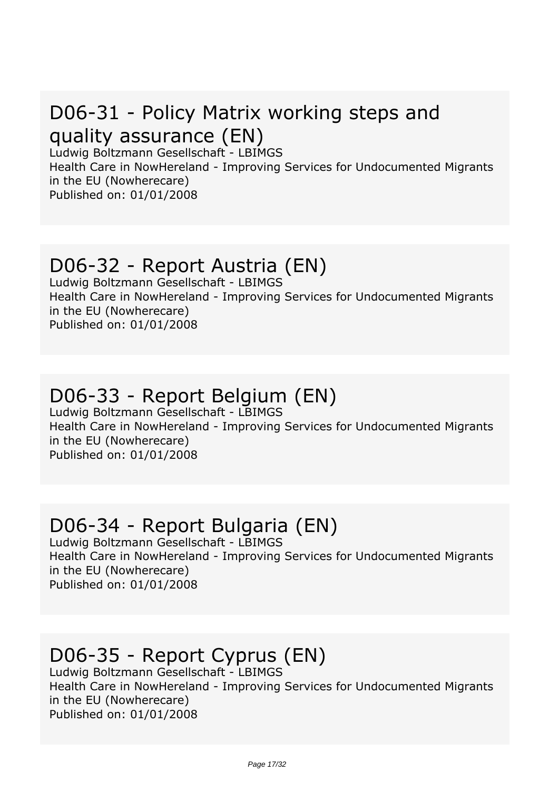## *D06-31 - Policy Matrix working steps and quality assurance (EN)*

*Ludwig Boltzmann Gesellschaft - LBIMGS*

*Health Care in NowHereland - Improving Services for Undocumented Migrants in the EU (Nowherecare) Published on: 01/01/2008*

#### *D06-32 - Report Austria (EN)*

*Ludwig Boltzmann Gesellschaft - LBIMGS Health Care in NowHereland - Improving Services for Undocumented Migrants in the EU (Nowherecare) Published on: 01/01/2008*

#### *D06-33 - Report Belgium (EN)*

*Ludwig Boltzmann Gesellschaft - LBIMGS Health Care in NowHereland - Improving Services for Undocumented Migrants in the EU (Nowherecare) Published on: 01/01/2008*

#### *D06-34 - Report Bulgaria (EN)*

*Ludwig Boltzmann Gesellschaft - LBIMGS Health Care in NowHereland - Improving Services for Undocumented Migrants in the EU (Nowherecare) Published on: 01/01/2008*

# *D06-35 - Report Cyprus (EN)*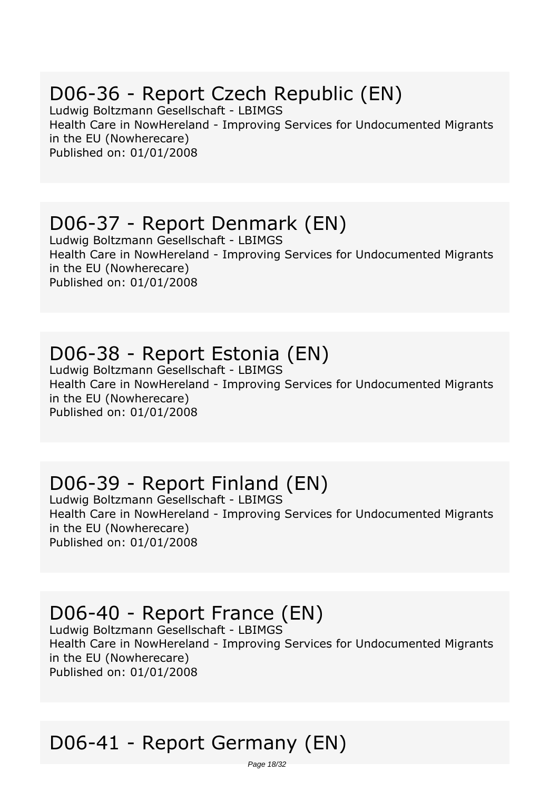## *D06-36 - Report Czech Republic (EN)*

*Ludwig Boltzmann Gesellschaft - LBIMGS Health Care in NowHereland - Improving Services for Undocumented Migrants in the EU (Nowherecare) Published on: 01/01/2008*

#### *D06-37 - Report Denmark (EN)*

*Ludwig Boltzmann Gesellschaft - LBIMGS Health Care in NowHereland - Improving Services for Undocumented Migrants in the EU (Nowherecare) Published on: 01/01/2008*

#### *D06-38 - Report Estonia (EN)*

*Ludwig Boltzmann Gesellschaft - LBIMGS Health Care in NowHereland - Improving Services for Undocumented Migrants in the EU (Nowherecare) Published on: 01/01/2008*

## *D06-39 - Report Finland (EN)*

*Ludwig Boltzmann Gesellschaft - LBIMGS Health Care in NowHereland - Improving Services for Undocumented Migrants in the EU (Nowherecare) Published on: 01/01/2008*

## *D06-40 - Report France (EN)*

*Ludwig Boltzmann Gesellschaft - LBIMGS Health Care in NowHereland - Improving Services for Undocumented Migrants in the EU (Nowherecare) Published on: 01/01/2008*

# *D06-41 - Report Germany (EN)*

Page 18/32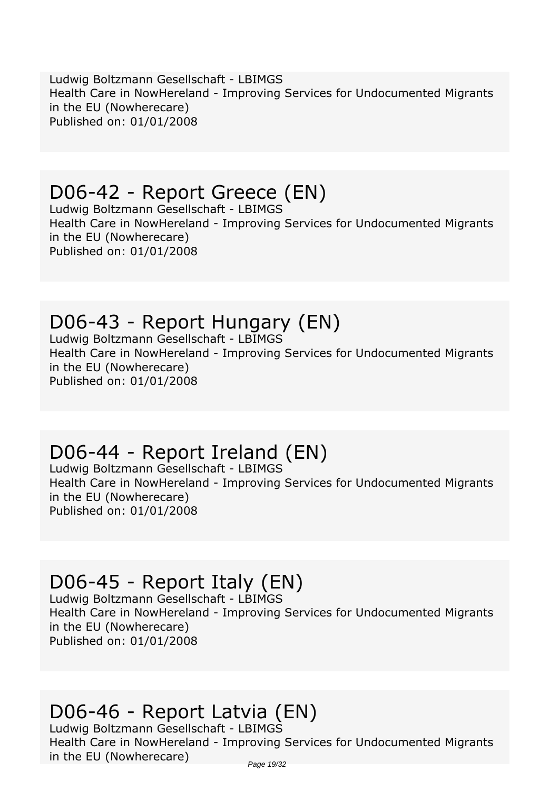*Ludwig Boltzmann Gesellschaft - LBIMGS Health Care in NowHereland - Improving Services for Undocumented Migrants in the EU (Nowherecare) Published on: 01/01/2008*

#### *D06-42 - Report Greece (EN)*

*Ludwig Boltzmann Gesellschaft - LBIMGS Health Care in NowHereland - Improving Services for Undocumented Migrants in the EU (Nowherecare) Published on: 01/01/2008*

## *D06-43 - Report Hungary (EN)*

*Ludwig Boltzmann Gesellschaft - LBIMGS Health Care in NowHereland - Improving Services for Undocumented Migrants in the EU (Nowherecare) Published on: 01/01/2008*

# *D06-44 - Report Ireland (EN)*

*Ludwig Boltzmann Gesellschaft - LBIMGS Health Care in NowHereland - Improving Services for Undocumented Migrants in the EU (Nowherecare) Published on: 01/01/2008*

# *D06-45 - Report Italy (EN)*

*Ludwig Boltzmann Gesellschaft - LBIMGS Health Care in NowHereland - Improving Services for Undocumented Migrants in the EU (Nowherecare) Published on: 01/01/2008*

# *D06-46 - Report Latvia (EN)*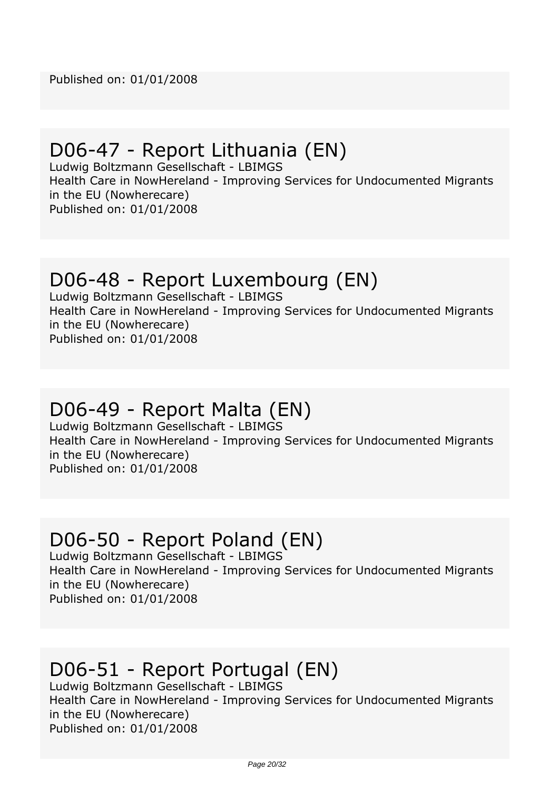#### *D06-47 - Report Lithuania (EN)*

*Ludwig Boltzmann Gesellschaft - LBIMGS Health Care in NowHereland - Improving Services for Undocumented Migrants in the EU (Nowherecare)*

*Published on: 01/01/2008*

#### *D06-48 - Report Luxembourg (EN)*

*Ludwig Boltzmann Gesellschaft - LBIMGS Health Care in NowHereland - Improving Services for Undocumented Migrants in the EU (Nowherecare) Published on: 01/01/2008*

#### *D06-49 - Report Malta (EN)*

*Ludwig Boltzmann Gesellschaft - LBIMGS Health Care in NowHereland - Improving Services for Undocumented Migrants in the EU (Nowherecare) Published on: 01/01/2008*

#### *D06-50 - Report Poland (EN)*

*Ludwig Boltzmann Gesellschaft - LBIMGS Health Care in NowHereland - Improving Services for Undocumented Migrants in the EU (Nowherecare) Published on: 01/01/2008*

## *D06-51 - Report Portugal (EN)*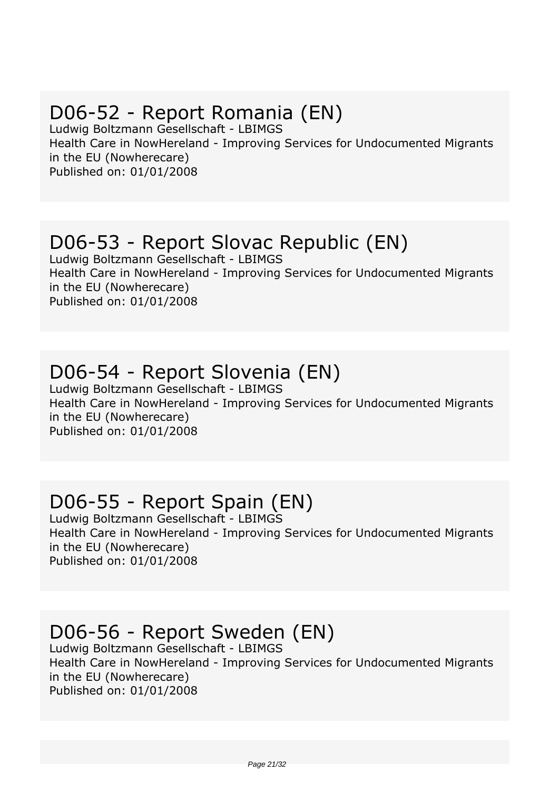## *D06-52 - Report Romania (EN)*

*Ludwig Boltzmann Gesellschaft - LBIMGS Health Care in NowHereland - Improving Services for Undocumented Migrants in the EU (Nowherecare) Published on: 01/01/2008*

#### *D06-53 - Report Slovac Republic (EN)*

*Ludwig Boltzmann Gesellschaft - LBIMGS Health Care in NowHereland - Improving Services for Undocumented Migrants in the EU (Nowherecare) Published on: 01/01/2008*

#### *D06-54 - Report Slovenia (EN)*

*Ludwig Boltzmann Gesellschaft - LBIMGS Health Care in NowHereland - Improving Services for Undocumented Migrants in the EU (Nowherecare) Published on: 01/01/2008*

# *D06-55 - Report Spain (EN)*

*Ludwig Boltzmann Gesellschaft - LBIMGS Health Care in NowHereland - Improving Services for Undocumented Migrants in the EU (Nowherecare) Published on: 01/01/2008*

## *D06-56 - Report Sweden (EN)*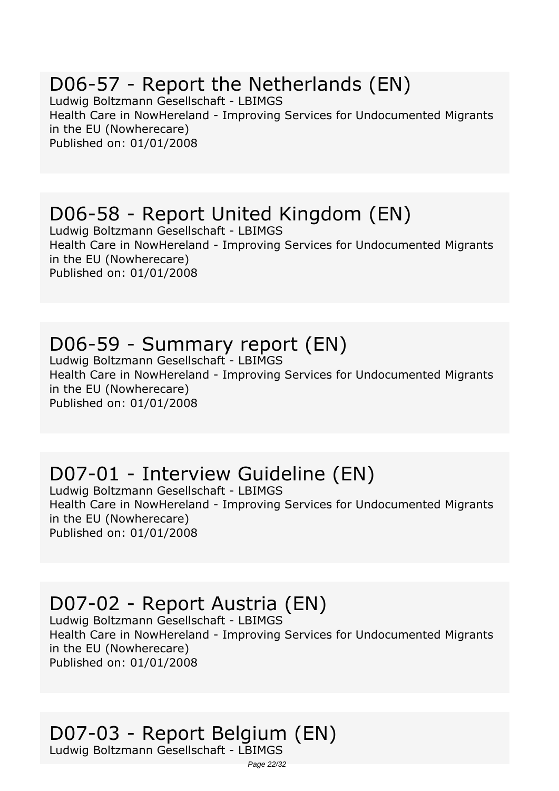## *D06-57 - Report the Netherlands (EN)*

*Ludwig Boltzmann Gesellschaft - LBIMGS Health Care in NowHereland - Improving Services for Undocumented Migrants in the EU (Nowherecare) Published on: 01/01/2008*

#### *D06-58 - Report United Kingdom (EN)*

*Ludwig Boltzmann Gesellschaft - LBIMGS Health Care in NowHereland - Improving Services for Undocumented Migrants in the EU (Nowherecare) Published on: 01/01/2008*

#### *D06-59 - Summary report (EN)*

*Ludwig Boltzmann Gesellschaft - LBIMGS Health Care in NowHereland - Improving Services for Undocumented Migrants in the EU (Nowherecare) Published on: 01/01/2008*

## *D07-01 - Interview Guideline (EN)*

*Ludwig Boltzmann Gesellschaft - LBIMGS Health Care in NowHereland - Improving Services for Undocumented Migrants in the EU (Nowherecare) Published on: 01/01/2008*

## *D07-02 - Report Austria (EN)*

*Ludwig Boltzmann Gesellschaft - LBIMGS Health Care in NowHereland - Improving Services for Undocumented Migrants in the EU (Nowherecare) Published on: 01/01/2008*

## *D07-03 - Report Belgium (EN)*

*Ludwig Boltzmann Gesellschaft - LBIMGS*

Page 22/32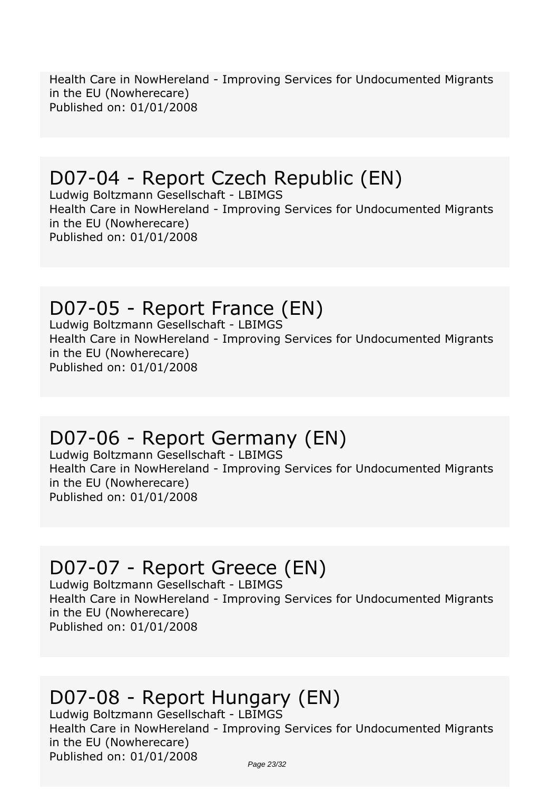*Health Care in NowHereland - Improving Services for Undocumented Migrants in the EU (Nowherecare) Published on: 01/01/2008*

## *D07-04 - Report Czech Republic (EN)*

*Ludwig Boltzmann Gesellschaft - LBIMGS Health Care in NowHereland - Improving Services for Undocumented Migrants in the EU (Nowherecare) Published on: 01/01/2008*

#### *D07-05 - Report France (EN)*

*Ludwig Boltzmann Gesellschaft - LBIMGS Health Care in NowHereland - Improving Services for Undocumented Migrants in the EU (Nowherecare) Published on: 01/01/2008*

## *D07-06 - Report Germany (EN)*

*Ludwig Boltzmann Gesellschaft - LBIMGS Health Care in NowHereland - Improving Services for Undocumented Migrants in the EU (Nowherecare) Published on: 01/01/2008*

# *D07-07 - Report Greece (EN)*

*Ludwig Boltzmann Gesellschaft - LBIMGS Health Care in NowHereland - Improving Services for Undocumented Migrants in the EU (Nowherecare) Published on: 01/01/2008*

## *D07-08 - Report Hungary (EN)*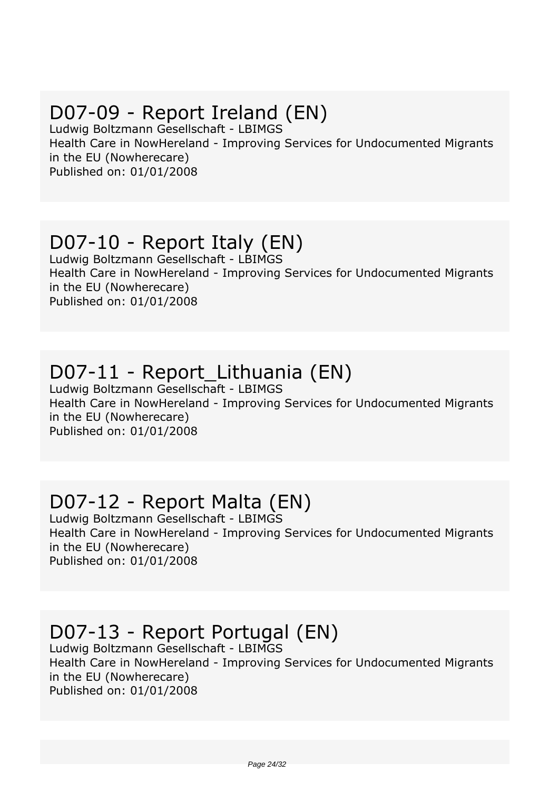## *D07-09 - Report Ireland (EN)*

*Ludwig Boltzmann Gesellschaft - LBIMGS Health Care in NowHereland - Improving Services for Undocumented Migrants in the EU (Nowherecare) Published on: 01/01/2008*

#### *D07-10 - Report Italy (EN)*

*Ludwig Boltzmann Gesellschaft - LBIMGS Health Care in NowHereland - Improving Services for Undocumented Migrants in the EU (Nowherecare) Published on: 01/01/2008*

#### *D07-11 - Report\_Lithuania (EN)*

*Ludwig Boltzmann Gesellschaft - LBIMGS Health Care in NowHereland - Improving Services for Undocumented Migrants in the EU (Nowherecare) Published on: 01/01/2008*

## *D07-12 - Report Malta (EN)*

*Ludwig Boltzmann Gesellschaft - LBIMGS Health Care in NowHereland - Improving Services for Undocumented Migrants in the EU (Nowherecare) Published on: 01/01/2008*

## *D07-13 - Report Portugal (EN)*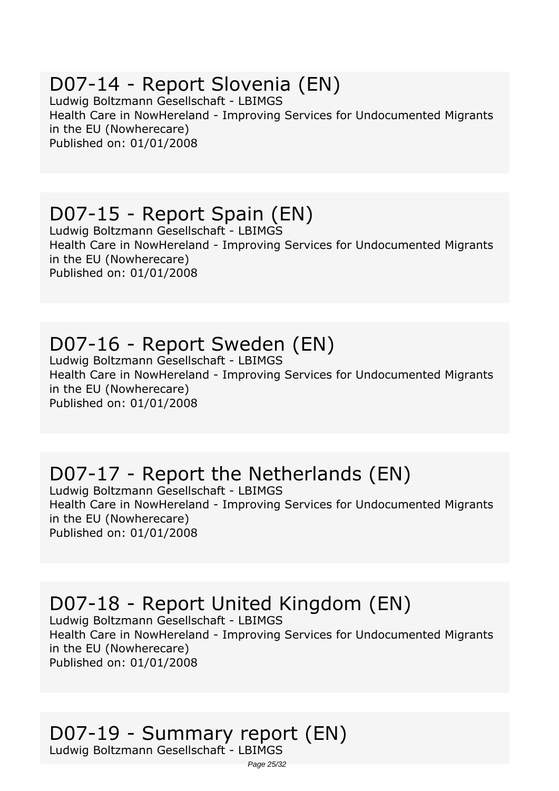#### *D07-14 - Report Slovenia (EN)*

*Ludwig Boltzmann Gesellschaft - LBIMGS Health Care in NowHereland - Improving Services for Undocumented Migrants in the EU (Nowherecare) Published on: 01/01/2008*

#### *D07-15 - Report Spain (EN)*

*Ludwig Boltzmann Gesellschaft - LBIMGS Health Care in NowHereland - Improving Services for Undocumented Migrants in the EU (Nowherecare) Published on: 01/01/2008*

## *D07-16 - Report Sweden (EN)*

*Ludwig Boltzmann Gesellschaft - LBIMGS Health Care in NowHereland - Improving Services for Undocumented Migrants in the EU (Nowherecare) Published on: 01/01/2008*

## *D07-17 - Report the Netherlands (EN)*

*Ludwig Boltzmann Gesellschaft - LBIMGS Health Care in NowHereland - Improving Services for Undocumented Migrants in the EU (Nowherecare) Published on: 01/01/2008*

## *D07-18 - Report United Kingdom (EN)*

*Ludwig Boltzmann Gesellschaft - LBIMGS Health Care in NowHereland - Improving Services for Undocumented Migrants in the EU (Nowherecare) Published on: 01/01/2008*

#### *D07-19 - Summary report (EN)*

*Ludwig Boltzmann Gesellschaft - LBIMGS*

Page 25/32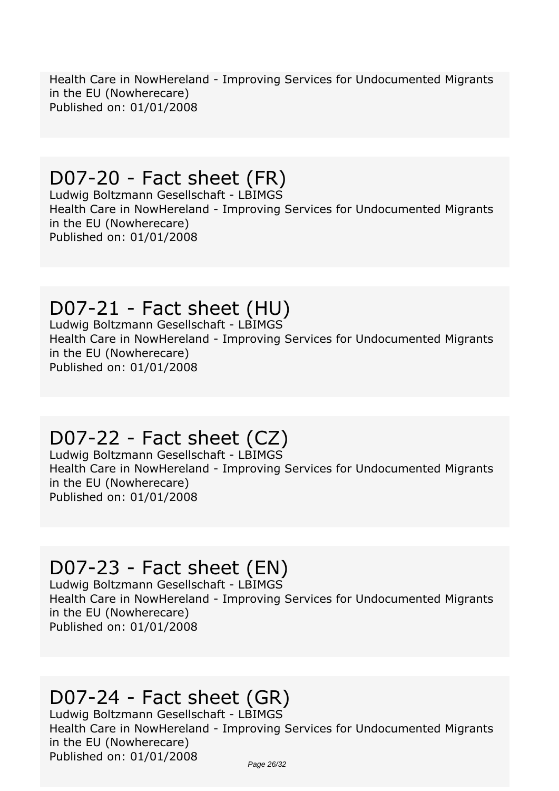*Health Care in NowHereland - Improving Services for Undocumented Migrants in the EU (Nowherecare) Published on: 01/01/2008*

# *D07-20 - Fact sheet (FR)*

*Ludwig Boltzmann Gesellschaft - LBIMGS Health Care in NowHereland - Improving Services for Undocumented Migrants in the EU (Nowherecare) Published on: 01/01/2008*

#### *D07-21 - Fact sheet (HU)*

*Ludwig Boltzmann Gesellschaft - LBIMGS Health Care in NowHereland - Improving Services for Undocumented Migrants in the EU (Nowherecare) Published on: 01/01/2008*

## *D07-22 - Fact sheet (CZ)*

*Ludwig Boltzmann Gesellschaft - LBIMGS Health Care in NowHereland - Improving Services for Undocumented Migrants in the EU (Nowherecare) Published on: 01/01/2008*

## *D07-23 - Fact sheet (EN)*

*Ludwig Boltzmann Gesellschaft - LBIMGS Health Care in NowHereland - Improving Services for Undocumented Migrants in the EU (Nowherecare) Published on: 01/01/2008*

## *D07-24 - Fact sheet (GR)*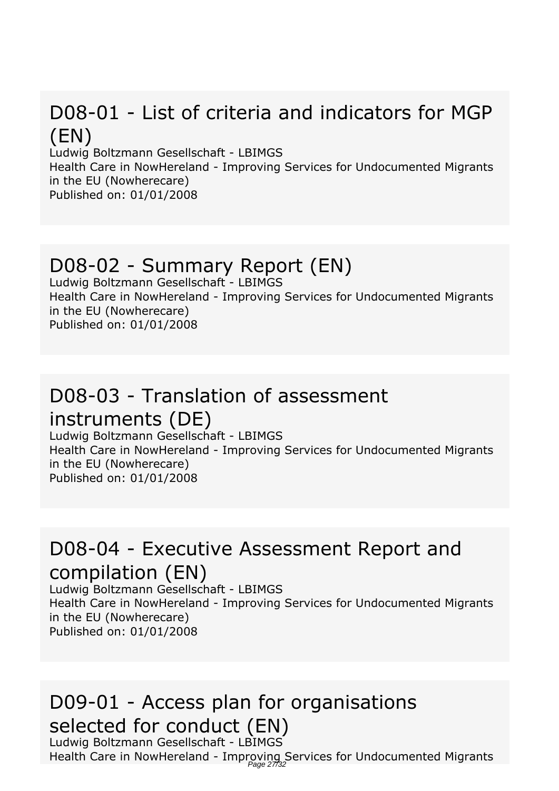## *D08-01 - List of criteria and indicators for MGP (EN)*

*Ludwig Boltzmann Gesellschaft - LBIMGS*

*Health Care in NowHereland - Improving Services for Undocumented Migrants in the EU (Nowherecare) Published on: 01/01/2008*

#### *D08-02 - Summary Report (EN)*

*Ludwig Boltzmann Gesellschaft - LBIMGS Health Care in NowHereland - Improving Services for Undocumented Migrants in the EU (Nowherecare) Published on: 01/01/2008*

#### *D08-03 - Translation of assessment*

#### *instruments (DE)*

*Ludwig Boltzmann Gesellschaft - LBIMGS Health Care in NowHereland - Improving Services for Undocumented Migrants in the EU (Nowherecare) Published on: 01/01/2008*

#### *D08-04 - Executive Assessment Report and compilation (EN)*

*Ludwig Boltzmann Gesellschaft - LBIMGS Health Care in NowHereland - Improving Services for Undocumented Migrants in the EU (Nowherecare) Published on: 01/01/2008*

#### *D09-01 - Access plan for organisations selected for conduct (EN)*

*Ludwig Boltzmann Gesellschaft - LBIMGS* Health Care in NowHereland - Improving Services for Undocumented Migrants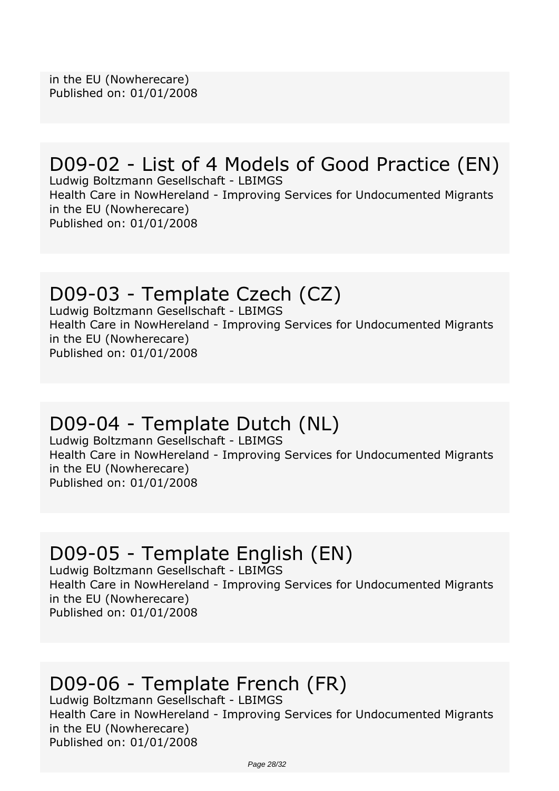#### *D09-02 - List of 4 Models of Good Practice (EN)*

*Ludwig Boltzmann Gesellschaft - LBIMGS Health Care in NowHereland - Improving Services for Undocumented Migrants in the EU (Nowherecare) Published on: 01/01/2008*

#### *D09-03 - Template Czech (CZ)*

*Ludwig Boltzmann Gesellschaft - LBIMGS Health Care in NowHereland - Improving Services for Undocumented Migrants in the EU (Nowherecare) Published on: 01/01/2008*

#### *D09-04 - Template Dutch (NL)*

*Ludwig Boltzmann Gesellschaft - LBIMGS Health Care in NowHereland - Improving Services for Undocumented Migrants in the EU (Nowherecare) Published on: 01/01/2008*

#### *D09-05 - Template English (EN)*

*Ludwig Boltzmann Gesellschaft - LBIMGS Health Care in NowHereland - Improving Services for Undocumented Migrants in the EU (Nowherecare) Published on: 01/01/2008*

## *D09-06 - Template French (FR)*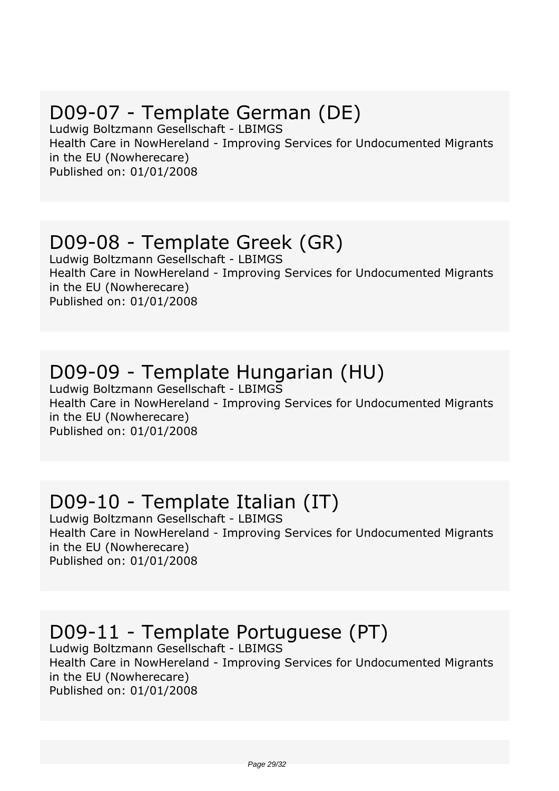# *D09-07 - Template German (DE)*

*Ludwig Boltzmann Gesellschaft - LBIMGS Health Care in NowHereland - Improving Services for Undocumented Migrants in the EU (Nowherecare) Published on: 01/01/2008*

#### *D09-08 - Template Greek (GR)*

*Ludwig Boltzmann Gesellschaft - LBIMGS Health Care in NowHereland - Improving Services for Undocumented Migrants in the EU (Nowherecare) Published on: 01/01/2008*

## *D09-09 - Template Hungarian (HU)*

*Ludwig Boltzmann Gesellschaft - LBIMGS Health Care in NowHereland - Improving Services for Undocumented Migrants in the EU (Nowherecare) Published on: 01/01/2008*

## *D09-10 - Template Italian (IT)*

*Ludwig Boltzmann Gesellschaft - LBIMGS Health Care in NowHereland - Improving Services for Undocumented Migrants in the EU (Nowherecare) Published on: 01/01/2008*

# *D09-11 - Template Portuguese (PT)*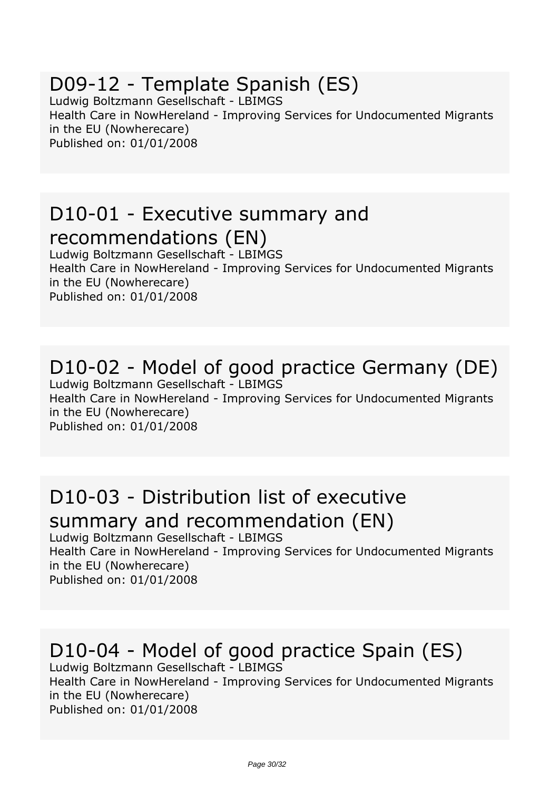#### *D09-12 - Template Spanish (ES)*

*Ludwig Boltzmann Gesellschaft - LBIMGS Health Care in NowHereland - Improving Services for Undocumented Migrants in the EU (Nowherecare) Published on: 01/01/2008*

#### *D10-01 - Executive summary and recommendations (EN)*

*Ludwig Boltzmann Gesellschaft - LBIMGS Health Care in NowHereland - Improving Services for Undocumented Migrants in the EU (Nowherecare) Published on: 01/01/2008*

# *D10-02 - Model of good practice Germany (DE)*

*Ludwig Boltzmann Gesellschaft - LBIMGS Health Care in NowHereland - Improving Services for Undocumented Migrants in the EU (Nowherecare) Published on: 01/01/2008*

#### *D10-03 - Distribution list of executive summary and recommendation (EN)*

*Ludwig Boltzmann Gesellschaft - LBIMGS Health Care in NowHereland - Improving Services for Undocumented Migrants in the EU (Nowherecare) Published on: 01/01/2008*

## *D10-04 - Model of good practice Spain (ES)*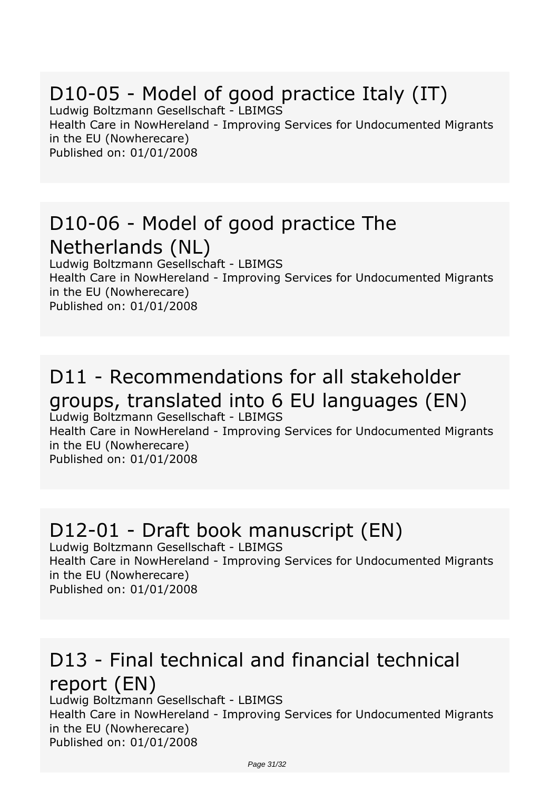# *D10-05 - Model of good practice Italy (IT)*

*Ludwig Boltzmann Gesellschaft - LBIMGS Health Care in NowHereland - Improving Services for Undocumented Migrants in the EU (Nowherecare) Published on: 01/01/2008*

#### *D10-06 - Model of good practice The Netherlands (NL)*

*Ludwig Boltzmann Gesellschaft - LBIMGS Health Care in NowHereland - Improving Services for Undocumented Migrants in the EU (Nowherecare) Published on: 01/01/2008*

#### *D11 - Recommendations for all stakeholder groups, translated into 6 EU languages (EN) Ludwig Boltzmann Gesellschaft - LBIMGS*

*Health Care in NowHereland - Improving Services for Undocumented Migrants in the EU (Nowherecare) Published on: 01/01/2008*

#### *D12-01 - Draft book manuscript (EN)*

*Ludwig Boltzmann Gesellschaft - LBIMGS Health Care in NowHereland - Improving Services for Undocumented Migrants in the EU (Nowherecare) Published on: 01/01/2008*

#### *D13 - Final technical and financial technical report (EN)*